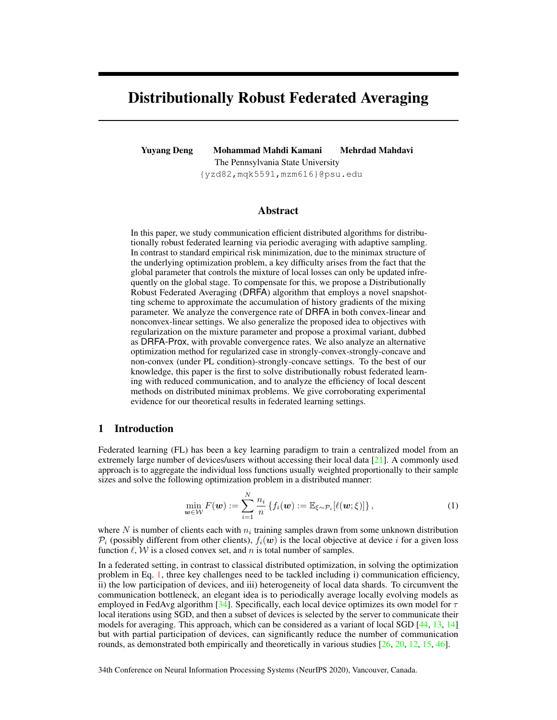# Distributionally Robust Federated Averaging

Yuyang Deng Mohammad Mahdi Kamani Mehrdad Mahdavi The Pennsylvania State University

{yzd82,mqk5591,mzm616}@psu.edu

## Abstract

In this paper, we study communication efficient distributed algorithms for distributionally robust federated learning via periodic averaging with adaptive sampling. In contrast to standard empirical risk minimization, due to the minimax structure of the underlying optimization problem, a key difficulty arises from the fact that the global parameter that controls the mixture of local losses can only be updated infrequently on the global stage. To compensate for this, we propose a Distributionally Robust Federated Averaging (DRFA) algorithm that employs a novel snapshotting scheme to approximate the accumulation of history gradients of the mixing parameter. We analyze the convergence rate of DRFA in both convex-linear and nonconvex-linear settings. We also generalize the proposed idea to objectives with regularization on the mixture parameter and propose a proximal variant, dubbed as DRFA-Prox, with provable convergence rates. We also analyze an alternative optimization method for regularized case in strongly-convex-strongly-concave and non-convex (under PL condition)-strongly-concave settings. To the best of our knowledge, this paper is the first to solve distributionally robust federated learning with reduced communication, and to analyze the efficiency of local descent methods on distributed minimax problems. We give corroborating experimental evidence for our theoretical results in federated learning settings.

#### 1 Introduction

Federated learning (FL) has been a key learning paradigm to train a centralized model from an extremely large number of devices/users without accessing their local data [21]. A commonly used approach is to aggregate the individual loss functions usually weighted proportionally to their sample sizes and solve the following optimization problem in a distributed manner:

$$
\min_{\boldsymbol{w}\in\mathcal{W}} F(\boldsymbol{w}) := \sum_{i=1}^N \frac{n_i}{n} \left\{ f_i(\boldsymbol{w}) := \mathbb{E}_{\xi\sim\mathcal{P}_i} [\ell(\boldsymbol{w}; \xi)] \right\},\tag{1}
$$

where N is number of clients each with  $n_i$  training samples drawn from some unknown distribution  $\mathcal{P}_i$  (possibly different from other clients),  $f_i(\mathbf{w})$  is the local objective at device i for a given loss function  $\ell$ , W is a closed convex set, and n is total number of samples.

In a federated setting, in contrast to classical distributed optimization, in solving the optimization problem in Eq. 1, three key challenges need to be tackled including i) communication efficiency, ii) the low participation of devices, and iii) heterogeneity of local data shards. To circumvent the communication bottleneck, an elegant idea is to periodically average locally evolving models as employed in FedAvg algorithm [34]. Specifically, each local device optimizes its own model for  $\tau$ local iterations using SGD, and then a subset of devices is selected by the server to communicate their models for averaging. This approach, which can be considered as a variant of local SGD [44, 13, 14] but with partial participation of devices, can significantly reduce the number of communication rounds, as demonstrated both empirically and theoretically in various studies  $[26, 20, 12, 15, 46]$ .

34th Conference on Neural Information Processing Systems (NeurIPS 2020), Vancouver, Canada.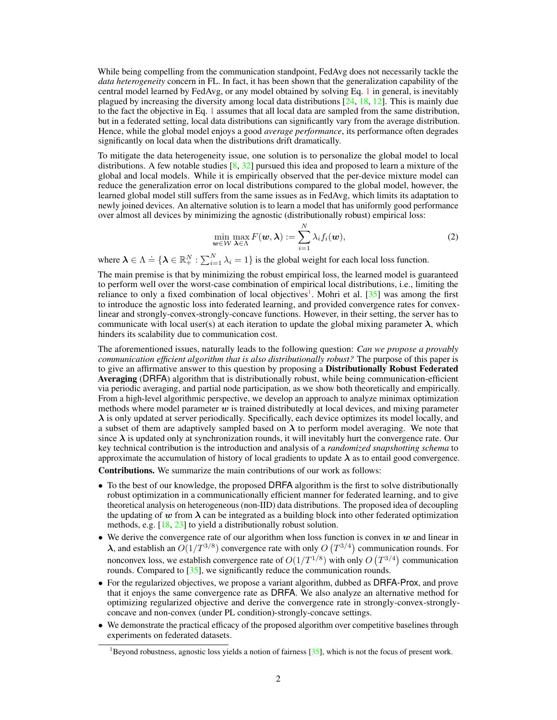While being compelling from the communication standpoint, FedAvg does not necessarily tackle the *data heterogeneity* concern in FL. In fact, it has been shown that the generalization capability of the central model learned by FedAvg, or any model obtained by solving Eq. 1 in general, is inevitably plagued by increasing the diversity among local data distributions [24, 18, 12]. This is mainly due to the fact the objective in Eq. 1 assumes that all local data are sampled from the same distribution, but in a federated setting, local data distributions can significantly vary from the average distribution. Hence, while the global model enjoys a good *average performance*, its performance often degrades significantly on local data when the distributions drift dramatically.

To mitigate the data heterogeneity issue, one solution is to personalize the global model to local distributions. A few notable studies  $[8, 32]$  pursued this idea and proposed to learn a mixture of the global and local models. While it is empirically observed that the per-device mixture model can reduce the generalization error on local distributions compared to the global model, however, the learned global model still suffers from the same issues as in FedAvg, which limits its adaptation to newly joined devices. An alternative solution is to learn a model that has uniformly good performance over almost all devices by minimizing the agnostic (distributionally robust) empirical loss:

$$
\min_{\boldsymbol{w}\in\mathcal{W}}\max_{\boldsymbol{\lambda}\in\Lambda}F(\boldsymbol{w},\boldsymbol{\lambda}):=\sum_{i=1}^N\lambda_if_i(\boldsymbol{w}),
$$
\n(2)

where  $\lambda \in \Lambda \doteq \{\lambda \in \mathbb{R}_+^N : \sum_{i=1}^N \lambda_i = 1\}$  is the global weight for each local loss function.

The main premise is that by minimizing the robust empirical loss, the learned model is guaranteed to perform well over the worst-case combination of empirical local distributions, i.e., limiting the reliance to only a fixed combination of local objectives<sup>1</sup>. Mohri et al. [35] was among the first to introduce the agnostic loss into federated learning, and provided convergence rates for convexlinear and strongly-convex-strongly-concave functions. However, in their setting, the server has to communicate with local user(s) at each iteration to update the global mixing parameter  $\lambda$ , which hinders its scalability due to communication cost.

The aforementioned issues, naturally leads to the following question: *Can we propose a provably communication efficient algorithm that is also distributionally robust?* The purpose of this paper is to give an affirmative answer to this question by proposing a Distributionally Robust Federated Averaging (DRFA) algorithm that is distributionally robust, while being communication-efficient via periodic averaging, and partial node participation, as we show both theoretically and empirically. From a high-level algorithmic perspective, we develop an approach to analyze minimax optimization methods where model parameter  $w$  is trained distributedly at local devices, and mixing parameter  $\lambda$  is only updated at server periodically. Specifically, each device optimizes its model locally, and a subset of them are adaptively sampled based on  $\lambda$  to perform model averaging. We note that since  $\lambda$  is updated only at synchronization rounds, it will inevitably hurt the convergence rate. Our key technical contribution is the introduction and analysis of a *randomized snapshotting schema* to approximate the accumulation of history of local gradients to update  $\lambda$  as to entail good convergence.

Contributions. We summarize the main contributions of our work as follows:

- To the best of our knowledge, the proposed DRFA algorithm is the first to solve distributionally robust optimization in a communicationally efficient manner for federated learning, and to give theoretical analysis on heterogeneous (non-IID) data distributions. The proposed idea of decoupling the updating of w from  $\lambda$  can be integrated as a building block into other federated optimization methods, e.g. [18, 23] to yield a distributionally robust solution.
- We derive the convergence rate of our algorithm when loss function is convex in  $w$  and linear in  $\lambda$ , and establish an  $O(1/T^{3/8})$  convergence rate with only  $O(T^{3/4})$  communication rounds. For nonconvex loss, we establish convergence rate of  $O(1/T^{1/8})$  with only  $O(T^{3/4})$  communication rounds. Compared to [35], we significantly reduce the communication rounds.
- For the regularized objectives, we propose a variant algorithm, dubbed as DRFA-Prox, and prove that it enjoys the same convergence rate as DRFA. We also analyze an alternative method for optimizing regularized objective and derive the convergence rate in strongly-convex-stronglyconcave and non-convex (under PL condition)-strongly-concave settings.
- We demonstrate the practical efficacy of the proposed algorithm over competitive baselines through experiments on federated datasets.

 $1B$ eyond robustness, agnostic loss yields a notion of fairness  $[35]$ , which is not the focus of present work.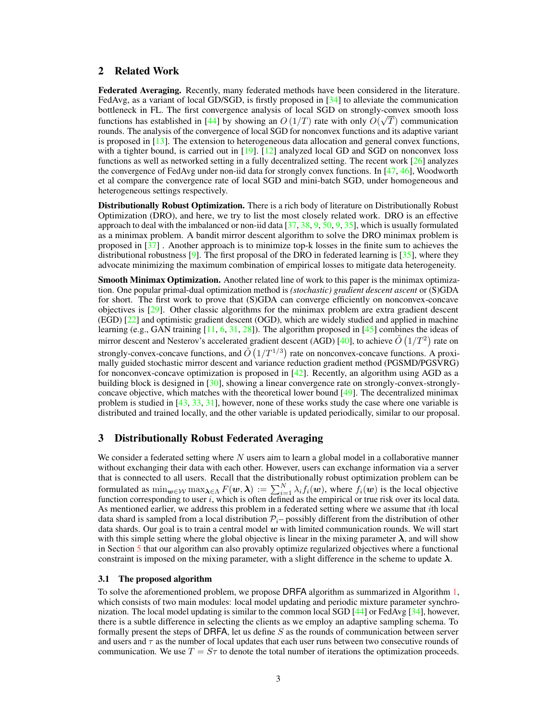## 2 Related Work

Federated Averaging. Recently, many federated methods have been considered in the literature. FedAvg, as a variant of local GD/SGD, is firstly proposed in [34] to alleviate the communication bottleneck in FL. The first convergence analysis of local SGD on strongly-convex smooth loss √ functions has established in [44] by showing an  $O(1/T)$  rate with only  $O(\sqrt{T})$  communication rounds. The analysis of the convergence of local SGD for nonconvex functions and its adaptive variant is proposed in  $[13]$ . The extension to heterogeneous data allocation and general convex functions, with a tighter bound, is carried out in [19]. [12] analyzed local GD and SGD on nonconvex loss functions as well as networked setting in a fully decentralized setting. The recent work [26] analyzes the convergence of FedAvg under non-iid data for strongly convex functions. In [47, 46], Woodworth et al compare the convergence rate of local SGD and mini-batch SGD, under homogeneous and heterogeneous settings respectively.

Distributionally Robust Optimization. There is a rich body of literature on Distributionally Robust Optimization (DRO), and here, we try to list the most closely related work. DRO is an effective approach to deal with the imbalanced or non-iid data  $[37, 38, 9, 50, 9, 35]$ , which is usually formulated as a minimax problem. A bandit mirror descent algorithm to solve the DRO minimax problem is proposed in [37] . Another approach is to minimize top-k losses in the finite sum to achieves the distributional robustness  $[9]$ . The first proposal of the DRO in federated learning is  $[35]$ , where they advocate minimizing the maximum combination of empirical losses to mitigate data heterogeneity.

Smooth Minimax Optimization. Another related line of work to this paper is the minimax optimization. One popular primal-dual optimization method is *(stochastic) gradient descent ascent* or (S)GDA for short. The first work to prove that (S)GDA can converge efficiently on nonconvex-concave objectives is [29]. Other classic algorithms for the minimax problem are extra gradient descent (EGD) [22] and optimistic gradient descent (OGD), which are widely studied and applied in machine learning (e.g., GAN training  $[11, 6, 31, 28]$ ). The algorithm proposed in  $[45]$  combines the ideas of mirror descent and Nesterov's accelerated gradient descent (AGD) [40], to achieve  $\tilde{O}(1/T^2)$  rate on strongly-convex-concave functions, and  $\tilde{O}(1/T^{1/3})$  rate on nonconvex-concave functions. A proximally guided stochastic mirror descent and variance reduction gradient method (PGSMD/PGSVRG) for nonconvex-concave optimization is proposed in [42]. Recently, an algorithm using AGD as a building block is designed in [30], showing a linear convergence rate on strongly-convex-stronglyconcave objective, which matches with the theoretical lower bound  $[49]$ . The decentralized minimax problem is studied in [43, 33, 31], however, none of these works study the case where one variable is distributed and trained locally, and the other variable is updated periodically, similar to our proposal.

#### 3 Distributionally Robust Federated Averaging

We consider a federated setting where  $N$  users aim to learn a global model in a collaborative manner without exchanging their data with each other. However, users can exchange information via a server that is connected to all users. Recall that the distributionally robust optimization problem can be formulated as  $\min_{\mathbf{w}\in\mathcal{W}} \max_{\mathbf{\lambda}\in\Lambda} F(\mathbf{w},\mathbf{\lambda}) := \sum_{i=1}^N \lambda_i f_i(\mathbf{w})$ , where  $f_i(\mathbf{w})$  is the local objective function corresponding to user  $i$ , which is often defined as the empirical or true risk over its local data. As mentioned earlier, we address this problem in a federated setting where we assume that ith local data shard is sampled from a local distribution  $\mathcal{P}_{i}$ – possibly different from the distribution of other data shards. Our goal is to train a central model  $w$  with limited communication rounds. We will start with this simple setting where the global objective is linear in the mixing parameter  $\lambda$ , and will show in Section 5 that our algorithm can also provably optimize regularized objectives where a functional constraint is imposed on the mixing parameter, with a slight difference in the scheme to update  $\lambda$ .

#### 3.1 The proposed algorithm

To solve the aforementioned problem, we propose DRFA algorithm as summarized in Algorithm 1, which consists of two main modules: local model updating and periodic mixture parameter synchronization. The local model updating is similar to the common local SGD [44] or FedAvg [34], however, there is a subtle difference in selecting the clients as we employ an adaptive sampling schema. To formally present the steps of DRFA, let us define  $S$  as the rounds of communication between server and users and  $\tau$  as the number of local updates that each user runs between two consecutive rounds of communication. We use  $T = S\tau$  to denote the total number of iterations the optimization proceeds.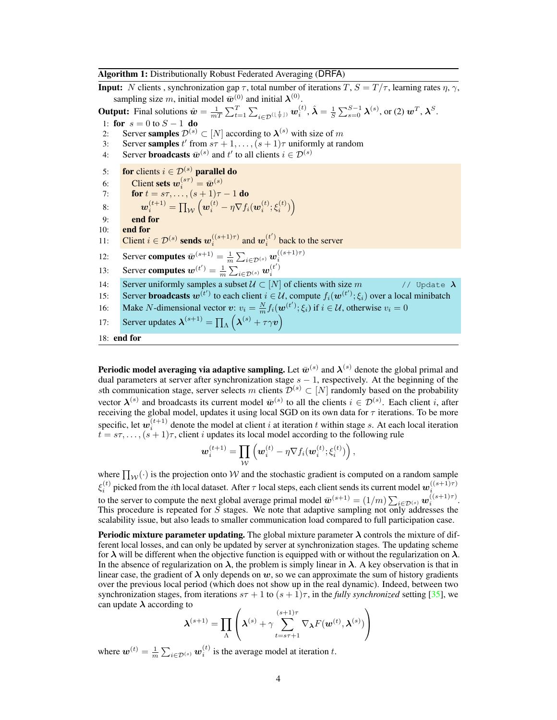Algorithm 1: Distributionally Robust Federated Averaging (DRFA)

**Input:** N clients, synchronization gap  $\tau$ , total number of iterations  $T$ ,  $S = T/\tau$ , learning rates  $\eta$ ,  $\gamma$ , sampling size m, initial model  $\bar{\boldsymbol{w}}^{(0)}$  and initial  $\boldsymbol{\lambda}^{(0)}$ . **Output:** Final solutions  $\hat{\boldsymbol{w}} = \frac{1}{mT} \sum_{t=1}^{T} \sum_{i \in \mathcal{D}^{(\lfloor \frac{t}{\tau} \rfloor)}} \boldsymbol{w}_i^{(t)}, \hat{\boldsymbol{\lambda}} = \frac{1}{S} \sum_{s=0}^{S-1} \boldsymbol{\lambda}^{(s)}$ , or (2)  $\boldsymbol{w}^T, \boldsymbol{\lambda}^S$ . 1: for  $s = 0$  to  $S - 1$  do<br>2: Server samples  $\mathcal{D}^{(s)}$ 2: Server samples  $\mathcal{D}^{(s)} \subset [N]$  according to  $\lambda^{(s)}$  with size of m 3: Server samples t' from  $s\tau + 1, \ldots, (s + 1)\tau$  uniformly at random 4: Server **broadcasts**  $\bar{w}^{(s)}$  and  $t'$  to all clients  $i \in \mathcal{D}^{(s)}$ 5: for clients  $i \in \mathcal{D}^{(s)}$  parallel do 6: Client sets  $w_i^{(s\tau)} = \bar{w}_i^{(s)}$ 7: **for**  $t = s\tau, ..., (s + 1)\tau - 1$  **do** 8:  $\boldsymbol{w}_i^{(t+1)} = \prod_{\mathcal{W}} \left( \boldsymbol{w}_i^{(t)} - \eta \nabla f_i(\boldsymbol{w}_i^{(t)};\boldsymbol{\xi}_i^{(t)}) \right)$  $9:$  end for 10: end for 11: Client  $i \in \mathcal{D}^{(s)}$  sends  $w_i^{((s+1)\tau)}$  and  $w_i^{(t')}$  back to the server 12: Server computes  $\bar{w}^{(s+1)} = \frac{1}{m} \sum_{i \in \mathcal{D}^{(s)}} w_i^{((s+1)\tau)}$ 13: Server computes  $\mathbf{w}^{(t')} = \frac{1}{m} \sum_{i \in \mathcal{D}^{(s)}} \mathbf{w}_i^{(t')}$ 14: Server uniformly samples a subset  $U \subset [N]$  of clients with size m // Update  $\lambda$ 15: Server broadcasts  $w^{(t')}$  to each client  $i \in \mathcal{U}$ , compute  $f_i(\boldsymbol{w}^{(t')}; \xi_i)$  over a local minibatch 16: Make N-dimensional vector  $v: v_i = \frac{N}{m} f_i(\boldsymbol{w}^{(t')}; \xi_i)$  if  $i \in \mathcal{U}$ , otherwise  $v_i = 0$ 17: Server updates  $\boldsymbol{\lambda}^{(s+1)} = \prod_{\Lambda} \left( \boldsymbol{\lambda}^{(s)} + \tau \gamma \boldsymbol{v} \right)$ 18: end for

**Periodic model averaging via adaptive sampling.** Let  $\bar{w}^{(s)}$  and  $\lambda^{(s)}$  denote the global primal and dual parameters at server after synchronization stage  $s - 1$ , respectively. At the beginning of the sth communication stage, server selects m clients  $\mathcal{D}^{(s)} \subset [N]$  randomly based on the probability vector  $\lambda^{(s)}$  and broadcasts its current model  $\bar{w}^{(s)}$  to all the clients  $i \in \mathcal{D}^{(s)}$ . Each client i, after receiving the global model, updates it using local SGD on its own data for  $\tau$  iterations. To be more specific, let  $w_i^{(t+1)}$  denote the model at client i at iteration t within stage s. At each local iteration  $t = s\tau, \ldots, (s + 1)\tau$ , client *i* updates its local model according to the following rule

$$
\boldsymbol{w}_i^{(t+1)} = \prod_{\mathcal{W}} \left(\boldsymbol{w}_i^{(t)} - \eta \nabla f_i(\boldsymbol{w}_i^{(t)}; \boldsymbol{\xi}_i^{(t)})\right),
$$

where  $\prod_{\mathcal{W}}(\cdot)$  is the projection onto W and the stochastic gradient is computed on a random sample  $\xi_i^{(t)}$  picked from the  $i$ th local dataset. After  $\tau$  local steps, each client sends its current model  $w_i^{((s+1)\tau)}$ to the server to compute the next global average primal model  $\bar{\boldsymbol{w}}^{(s+1)} = (1/m) \sum_{i \in \mathcal{D}^{(s)}} \boldsymbol{w}_i^{((s+1)\tau)}$ . This procedure is repeated for S stages. We note that adaptive sampling not only addresses the scalability issue, but also leads to smaller communication load compared to full participation case.

**Periodic mixture parameter updating.** The global mixture parameter  $\lambda$  controls the mixture of different local losses, and can only be updated by server at synchronization stages. The updating scheme for  $\lambda$  will be different when the objective function is equipped with or without the regularization on  $\lambda$ . In the absence of regularization on  $\lambda$ , the problem is simply linear in  $\lambda$ . A key observation is that in linear case, the gradient of  $\lambda$  only depends on w, so we can approximate the sum of history gradients over the previous local period (which does not show up in the real dynamic). Indeed, between two synchronization stages, from iterations  $s\tau + 1$  to  $(s + 1)\tau$ , in the *fully synchronized* setting [35], we can update  $\lambda$  according to

$$
\boldsymbol{\lambda}^{(s+1)} = \prod_{\Lambda} \left(\boldsymbol{\lambda}^{(s)} + \gamma \sum_{t=s\tau+1}^{(s+1)\tau} \nabla_{\boldsymbol{\lambda}} F(\boldsymbol{w}^{(t)}, \boldsymbol{\lambda}^{(s)})\right)
$$

where  $w^{(t)} = \frac{1}{m} \sum_{i \in \mathcal{D}^{(s)}} w_i^{(t)}$  is the average model at iteration t.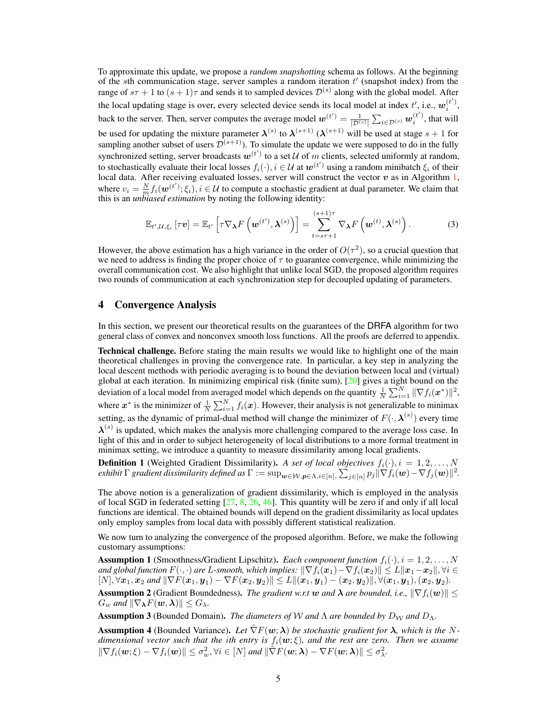To approximate this update, we propose a *random snapshotting* schema as follows. At the beginning of the sth communication stage, server samples a random iteration  $t'$  (snapshot index) from the range of  $s\tau + 1$  to  $(s + 1)\tau$  and sends it to sampled devices  $\mathcal{D}^{(s)}$  along with the global model. After the local updating stage is over, every selected device sends its local model at index  $t'$ , i.e.,  $w_i^{(t')}$ , back to the server. Then, server computes the average model  $w^{(t')} = \frac{1}{|\mathcal{D}^{(s)}|} \sum_{i \in \mathcal{D}^{(s)}} w_i^{(t')}$ , that will be used for updating the mixture parameter  $\lambda^{(s)}$  to  $\lambda^{(s+1)}$   $(\lambda^{(s+1)}$  will be used at stage  $s+1$  for sampling another subset of users  $\overline{\mathcal{D}}^{(s+1)}$ ). To simulate the update we were supposed to do in the fully synchronized setting, server broadcasts  $w^{(t')}$  to a set U of m clients, selected uniformly at random, to stochastically evaluate their local losses  $f_i(\cdot), i \in \mathcal{U}$  at  $\boldsymbol{w}^{(t')}$  using a random minibatch  $\xi_i$  of their local data. After receiving evaluated losses, server will construct the vector  $v$  as in Algorithm 1, where  $v_i = \frac{N}{m} f_i(\boldsymbol{w}^{(t')}; \xi_i), i \in \mathcal{U}$  to compute a stochastic gradient at dual parameter. We claim that this is an *unbiased estimation* by noting the following identity:

$$
\mathbb{E}_{t',\mathcal{U},\xi_i} \left[ \tau \mathbf{v} \right] = \mathbb{E}_{t'} \left[ \tau \nabla_{\boldsymbol{\lambda}} F \left( \mathbf{w}^{(t')}, \boldsymbol{\lambda}^{(s)} \right) \right] = \sum_{t=s\tau+1}^{(s+1)\tau} \nabla_{\boldsymbol{\lambda}} F \left( \mathbf{w}^{(t)}, \boldsymbol{\lambda}^{(s)} \right). \tag{3}
$$

However, the above estimation has a high variance in the order of  $O(\tau^2)$ , so a crucial question that we need to address is finding the proper choice of  $\tau$  to guarantee convergence, while minimizing the overall communication cost. We also highlight that unlike local SGD, the proposed algorithm requires two rounds of communication at each synchronization step for decoupled updating of parameters.

## 4 Convergence Analysis

In this section, we present our theoretical results on the guarantees of the DRFA algorithm for two general class of convex and nonconvex smooth loss functions. All the proofs are deferred to appendix.

Technical challenge. Before stating the main results we would like to highlight one of the main theoretical challenges in proving the convergence rate. In particular, a key step in analyzing the local descent methods with periodic averaging is to bound the deviation between local and (virtual) global at each iteration. In minimizing empirical risk (finite sum), [20] gives a tight bound on the deviation of a local model from averaged model which depends on the quantity  $\frac{1}{N}\sum_{i=1}^{N} \|\nabla f_i(\boldsymbol{x}^*)\|^2$ , where  $x^*$  is the minimizer of  $\frac{1}{N} \sum_{i=1}^{N} f_i(x)$ . However, their analysis is not generalizable to minimax setting, as the dynamic of primal-dual method will change the minimizer of  $F(\cdot, \lambda^{(s)})$  every time  $\lambda^{(s)}$  is updated, which makes the analysis more challenging compared to the average loss case. In light of this and in order to subject heterogeneity of local distributions to a more formal treatment in minimax setting, we introduce a quantity to measure dissimilarity among local gradients.

**Definition 1** (Weighted Gradient Dissimilarity). A set of local objectives  $f_i(\cdot), i = 1, 2, \ldots, N$ *exhibit*  $\Gamma$  *gradient dissimilarity defined as*  $\Gamma:=\sup_{\bm{w}\in \mathcal{W}, \bm{p}\in \Lambda, i\in [n],} \sum_{j\in [n]} p_j\|\nabla f_i(\bm{w})-\nabla f_j(\bm{w})\|^2.$ 

The above notion is a generalization of gradient dissimilarity, which is employed in the analysis of local SGD in federated setting  $[27, 8, 26, 46]$ . This quantity will be zero if and only if all local functions are identical. The obtained bounds will depend on the gradient dissimilarity as local updates only employ samples from local data with possibly different statistical realization.

We now turn to analyzing the convergence of the proposed algorithm. Before, we make the following customary assumptions:

**Assumption 1** (Smoothness/Gradient Lipschitz). *Each component function*  $f_i(\cdot), i = 1, 2, \ldots, N$ and global function  $F(\cdot,\cdot)$  are  $L$ -smooth, which implies:  $\|\nabla f_i(\bm{x}_1)-\nabla f_i(\bm{x}_2)\|\leq L\|\bm{x}_1-\bm{x}_2\|, \forall i\in$  $[N], \forall x_1, x_2 \text{ and } ||\nabla F(x_1, y_1) - \nabla F(x_2, y_2)|| \leq L ||(x_1, y_1) - (x_2, y_2)||, \forall (x_1, y_1), (x_2, y_2).$ 

**Assumption 2** (Gradient Boundedness). *The gradient w.r.t* w and  $\lambda$  are bounded, i.e.,  $\|\nabla f_i(\boldsymbol{w})\|$   $\leq$  $G_w$  and  $\|\nabla_{\boldsymbol{\lambda}}F(\boldsymbol{w},\boldsymbol{\lambda})\| \leq G_{\lambda}$ .

**Assumption 3** (Bounded Domain). *The diameters of* W *and*  $\Lambda$  *are bounded by*  $D_{\mathcal{W}}$  *and*  $D_{\Lambda}$ *.* 

Assumption 4 (Bounded Variance). Let  $\tilde{\nabla}F(w;\lambda)$  be stochastic gradient for  $\lambda$ , which is the N*dimensional vector such that the ith entry is*  $f_i(\mathbf{w}; \xi)$ *, and the rest are zero. Then we assume*  $\|\nabla f_i(\boldsymbol{w}; \boldsymbol{\xi}) - \nabla f_i(\boldsymbol{w})\| \leq \sigma_w^2, \forall i \in [N] \text{ and } \|\tilde{\nabla} F(\boldsymbol{w}; \boldsymbol{\lambda}) - \nabla F(\boldsymbol{w}; \boldsymbol{\lambda})\| \leq \sigma_{\lambda}^2.$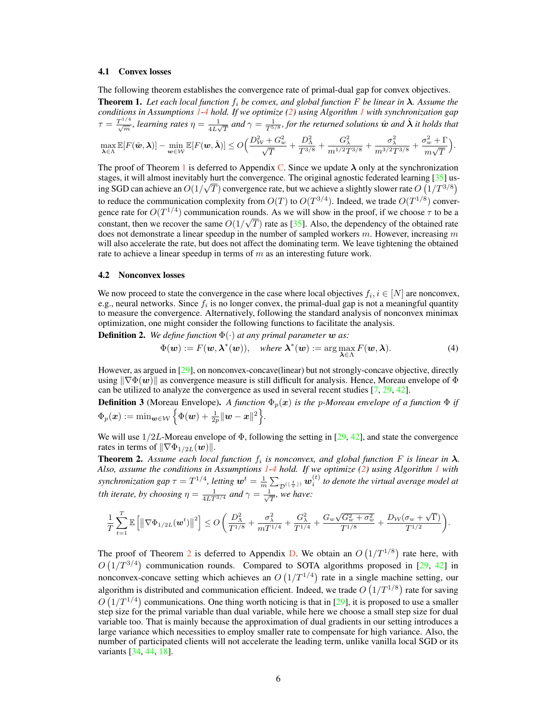#### 4.1 Convex losses

The following theorem establishes the convergence rate of primal-dual gap for convex objectives.

**Theorem 1.** Let each local function  $f_i$  be convex, and global function F be linear in  $\lambda$ . Assume the *conditions in Assumptions 1-4 hold. If we optimize (2) using Algorithm 1 with synchronization gap*  $\tau = \frac{T^{1/4}}{\sqrt{m}}$ , learning rates  $\eta = \frac{1}{4L\sqrt{m}}$  $\frac{1}{4L\sqrt{T}}$  and  $\gamma = \frac{1}{T^{5/8}}$ , for the returned solutions  $\hat{\bm{w}}$  and  $\hat{\bm{\lambda}}$  it holds that

$$
\max_{\lambda \in \Lambda} \mathbb{E}[F(\hat{\boldsymbol{w}}, \lambda)] - \min_{\boldsymbol{w} \in \mathcal{W}} \mathbb{E}[F(\boldsymbol{w}, \hat{\lambda})] \leq O\Big(\frac{D_{\mathcal{W}}^2 + G_w^2}{\sqrt{T}} + \frac{D_{\Lambda}^2}{T^{3/8}} + \frac{G_{\lambda}^2}{m^{1/2}T^{3/8}} + \frac{\sigma_{\lambda}^2}{m^{3/2}T^{3/8}} + \frac{\sigma_w^2 + \Gamma}{m\sqrt{T}}\Big).
$$

The proof of Theorem 1 is deferred to Appendix C. Since we update  $\lambda$  only at the synchronization stages, it will almost inevitably hurt the convergence. The original agnostic federated learning  $[35]$  using SGD can achieve an  $O(1/\sqrt{T})$  convergence rate, but we achieve a slightly slower rate  $O(1/T^{3/8})$ to reduce the communication complexity from  $O(T)$  to  $O(T^{3/4})$ . Indeed, we trade  $O(T^{1/8})$  convergence rate for  $O(T^{1/4})$  communication rounds. As we will show in the proof, if we choose  $\tau$  to be a constant, then we recover the same  $O(1/\sqrt{T})$  rate as [35]. Also, the dependency of the obtained rate does not demonstrate a linear speedup in the number of sampled workers  $m$ . However, increasing  $m$ will also accelerate the rate, but does not affect the dominating term. We leave tightening the obtained rate to achieve a linear speedup in terms of  $m$  as an interesting future work.

#### 4.2 Nonconvex losses

We now proceed to state the convergence in the case where local objectives  $f_i, i \in [N]$  are nonconvex, e.g., neural networks. Since  $f_i$  is no longer convex, the primal-dual gap is not a meaningful quantity to measure the convergence. Alternatively, following the standard analysis of nonconvex minimax optimization, one might consider the following functions to facilitate the analysis.

**Definition 2.** We define function  $\Phi(\cdot)$  at any primal parameter w as:

$$
\Phi(\mathbf{w}) := F(\mathbf{w}, \boldsymbol{\lambda}^*(\mathbf{w})), \quad \text{where } \boldsymbol{\lambda}^*(\mathbf{w}) := \arg \max_{\boldsymbol{\lambda} \in \Lambda} F(\mathbf{w}, \boldsymbol{\lambda}). \tag{4}
$$

However, as argued in [29], on nonconvex-concave(linear) but not strongly-concave objective, directly using  $\|\nabla\Phi(\boldsymbol{w})\|$  as convergence measure is still difficult for analysis. Hence, Moreau envelope of  $\Phi$ can be utilized to analyze the convergence as used in several recent studies [7, 29, 42].

**Definition 3** (Moreau Envelope). A function  $\Phi_p(x)$  is the p-Moreau envelope of a function  $\Phi$  if  $\Phi_p(\boldsymbol{x}) := \min_{\boldsymbol{w} \in \mathcal{W}} \Big\{ \Phi(\boldsymbol{w}) + \tfrac{1}{2p} \|\boldsymbol{w} - \boldsymbol{x}\|^2 \Big\}.$ 

We will use  $1/2L$ -Moreau envelope of  $\Phi$ , following the setting in [29, 42], and state the convergence rates in terms of  $\|\nabla \Phi_{1/2L}(\boldsymbol{w})\|$ .

**Theorem 2.** Assume each local function  $f_i$  is nonconvex, and global function F is linear in  $\lambda$ . *Also, assume the conditions in Assumptions 1-4 hold. If we optimize (2) using Algorithm 1 with synchronization gap*  $\tau = T^{1/4}$ , letting  $\mathbf{w}^t = \frac{1}{m} \sum_{\mathcal{D}^{(\lfloor \frac{t}{\tau} \rfloor)}} \mathbf{w}_i^{(t)}$  to denote the virtual average model at *tth iterate, by choosing*  $\eta = \frac{1}{4LT^{3/4}}$  *and*  $\gamma = \frac{1}{\sqrt{2}}$  $\frac{1}{\overline{T}}$ *, we have:* 

$$
\frac{1}{T}\sum_{t=1}^T \mathbb{E}\left[ \left\| \nabla \Phi_{1/2L}(\mathbf{w}^t) \right\|^2 \right] \leq O\left( \frac{D_{\Lambda}^2}{T^{1/8}} + \frac{\sigma_{\lambda}^2}{m T^{1/4}} + \frac{G_{\lambda}^2}{T^{1/4}} + \frac{G_w\sqrt{G_w^2 + \sigma_w^2}}{T^{1/8}} + \frac{D_{\mathcal{W}}(\sigma_w + \sqrt{\Gamma})}{T^{1/2}} \right).
$$

The proof of Theorem 2 is deferred to Appendix D. We obtain an  $O(1/T^{1/8})$  rate here, with  $O(1/T^{3/4})$  communication rounds. Compared to SOTA algorithms proposed in [29, 42] in nonconvex-concave setting which achieves an  $O(1/T^{1/4})$  rate in a single machine setting, our algorithm is distributed and communication efficient. Indeed, we trade  $O(1/T^{1/8})$  rate for saving  $O(1/T^{1/4})$  communications. One thing worth noticing is that in [29], it is proposed to use a smaller step size for the primal variable than dual variable, while here we choose a small step size for dual variable too. That is mainly because the approximation of dual gradients in our setting introduces a large variance which necessities to employ smaller rate to compensate for high variance. Also, the number of participated clients will not accelerate the leading term, unlike vanilla local SGD or its variants [34, 44, 18].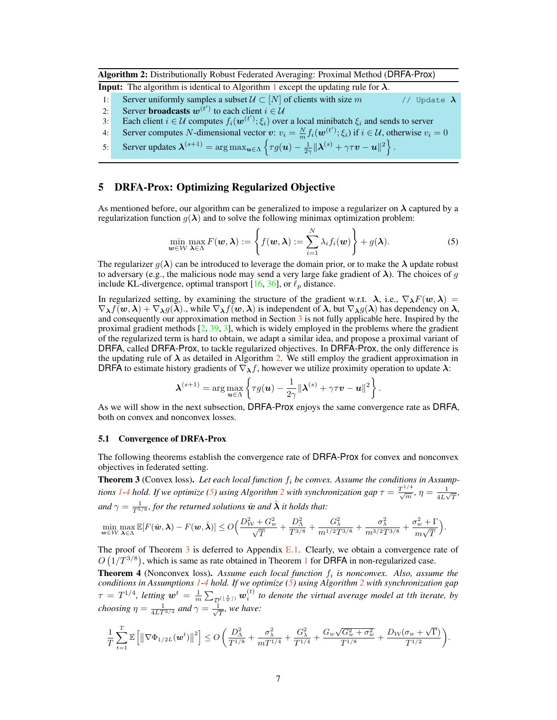Algorithm 2: Distributionally Robust Federated Averaging: Proximal Method (DRFA-Prox)

**Input:** The algorithm is identical to Algorithm 1 except the updating rule for  $\lambda$ .

- 1: Server uniformly samples a subset  $U \subset [N]$  of clients with size m // Update  $\lambda$
- 2: Server **broadcasts**  $w^{(t')}$  to each client  $i \in \mathcal{U}$
- 3: Each client  $i \in \mathcal{U}$  computes  $f_i(\boldsymbol{w}^{(t')}; \xi_i)$  over a local minibatch  $\xi_i$  and sends to server
- 4: Server computes N-dimensional vector  $v: v_i = \frac{N}{m} f_i(\boldsymbol{w}^{(t')}; \xi_i)$  if  $i \in \mathcal{U}$ , otherwise  $v_i = 0$
- 5: Server updates  $\boldsymbol{\lambda}^{(s+1)} = \arg \max_{\boldsymbol{u} \in \Lambda} \left\{ \tau g(\boldsymbol{u}) \frac{1}{2\gamma} ||\boldsymbol{\lambda}^{(s)} + \gamma \tau \boldsymbol{v} \boldsymbol{u}||^2 \right\}.$

## 5 DRFA-Prox: Optimizing Regularized Objective

As mentioned before, our algorithm can be generalized to impose a regularizer on  $\lambda$  captured by a regularization function  $g(\lambda)$  and to solve the following minimax optimization problem:

$$
\min_{\boldsymbol{w}\in\mathcal{W}}\max_{\boldsymbol{\lambda}\in\Lambda}F(\boldsymbol{w},\boldsymbol{\lambda}):=\left\{f(\boldsymbol{w},\boldsymbol{\lambda}):=\sum_{i=1}^N\lambda_if_i(\boldsymbol{w})\right\}+g(\boldsymbol{\lambda}).
$$
\n(5)

The regularizer  $g(\lambda)$  can be introduced to leverage the domain prior, or to make the  $\lambda$  update robust to adversary (e.g., the malicious node may send a very large fake gradient of  $\lambda$ ). The choices of g include KL-divergence, optimal transport [16, 36], or  $\ell_p$  distance.

In regularized setting, by examining the structure of the gradient w.r.t.  $\lambda$ , i.e.,  $\nabla_{\lambda}F(w,\lambda)$  =  $\nabla_{\lambda} f(w, \lambda) + \nabla_{\lambda} g(\lambda)$ , while  $\nabla_{\lambda} f(w, \lambda)$  is independent of  $\lambda$ , but  $\nabla_{\lambda} g(\lambda)$  has dependency on  $\lambda$ , and consequently our approximation method in Section 3 is not fully applicable here. Inspired by the proximal gradient methods  $[2, 39, 3]$ , which is widely employed in the problems where the gradient of the regularized term is hard to obtain, we adapt a similar idea, and propose a proximal variant of DRFA, called DRFA-Prox, to tackle regularized objectives. In DRFA-Prox, the only difference is the updating rule of  $\lambda$  as detailed in Algorithm 2. We still employ the gradient approximation in DRFA to estimate history gradients of  $\nabla_{\lambda} f$ , however we utilize proximity operation to update  $\lambda$ :

$$
\boldsymbol{\lambda}^{(s+1)} = \arg \max_{\boldsymbol{u} \in \Lambda} \left\{ \tau g(\boldsymbol{u}) - \frac{1}{2\gamma} \| \boldsymbol{\lambda}^{(s)} + \gamma \tau \boldsymbol{v} - \boldsymbol{u} \|^2 \right\}.
$$

As we will show in the next subsection, DRFA-Prox enjoys the same convergence rate as DRFA, both on convex and nonconvex losses.

#### 5.1 Convergence of DRFA-Prox

The following theorems establish the convergence rate of DRFA-Prox for convex and nonconvex objectives in federated setting.

**Theorem 3** (Convex loss). Let each local function  $f_i$  be convex. Assume the conditions in Assump*tions* 1-4 *hold.* If we optimize (5) using Algorithm 2 with synchronization gap  $\tau = \frac{T^{1/4}}{\sqrt{m}}$ ,  $\eta = \frac{1}{4L\sqrt{m}}$  $\frac{1}{4L\sqrt{T}},$ and  $\gamma = \frac{1}{T^{5/8}}$ , for the returned solutions  $\hat{w}$  and  $\hat{\lambda}$  it holds that:

$$
\min_{\pmb{w}\in \mathcal{W}}\max_{\pmb{\lambda}\in \Lambda}\mathbb{E}[F(\hat{\pmb{w}},\pmb{\lambda})-F(\pmb{w},\hat{\pmb{\lambda}})]\leq O\Big(\frac{D_{\mathcal{W}}^2+G_w^2}{\sqrt{T}}+\frac{D_{\Lambda}^2}{T^{3/8}}+\frac{G_{\lambda}^2}{m^{1/2}T^{3/8}}+\frac{\sigma_{\lambda}^2}{m^{3/2}T^{3/8}}+\frac{\sigma_w^2+\Gamma}{m\sqrt{T}}\Big).
$$

The proof of Theorem  $3$  is deferred to Appendix E.1. Clearly, we obtain a convergence rate of  $O(1/T^{3/8})$ , which is same as rate obtained in Theorem 1 for DRFA in non-regularized case.

**Theorem 4** (Nonconvex loss). Assume each local function  $f_i$  is nonconvex. Also, assume the *conditions in Assumptions 1-4 hold. If we optimize (5) using Algorithm 2 with synchronization gap*  $\tau = T^{1/4}$ , letting  $w^t = \frac{1}{m} \sum_{\mathcal{D}^{(\lfloor \frac{t}{\tau} \rfloor)}} w_i^{(t)}$  to denote the virtual average model at tth iterate, by *choosing*  $\eta = \frac{1}{4LT^{3/4}}$  *and*  $\gamma = \frac{1}{\sqrt{2}}$  $\frac{1}{T}$ *, we have:* 

$$
\frac{1}{T}\sum_{t=1}^T \mathbb{E}\left[\left\|\nabla \Phi_{1/2L}(\mathbf{w}^t)\right\|^2\right] \leq O\left(\frac{D_{\Lambda}^2}{T^{1/8}} + \frac{\sigma_{\lambda}^2}{mT^{1/4}} + \frac{G_{\lambda}^2}{T^{1/4}} + \frac{G_w\sqrt{G_w^2 + \sigma_w^2}}{T^{1/8}} + \frac{D_{\mathcal{W}}(\sigma_w + \sqrt{\Gamma})}{T^{1/2}}\right).
$$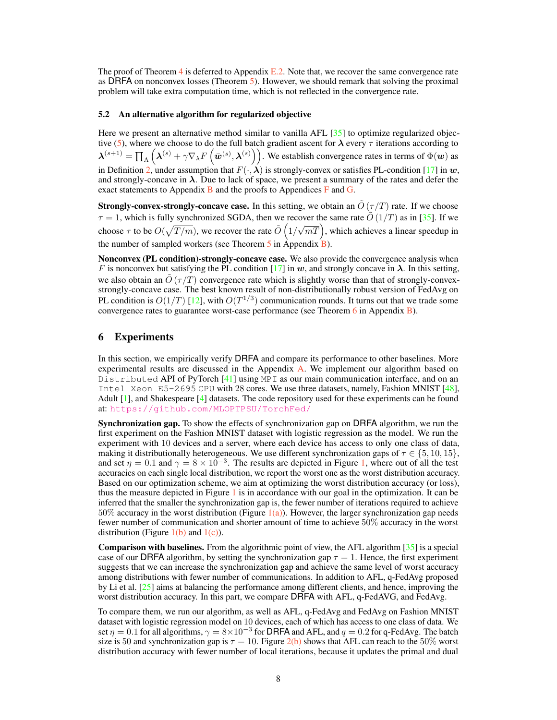The proof of Theorem 4 is deferred to Appendix  $E.2$ . Note that, we recover the same convergence rate as DRFA on nonconvex losses (Theorem 5). However, we should remark that solving the proximal problem will take extra computation time, which is not reflected in the convergence rate.

#### 5.2 An alternative algorithm for regularized objective

Here we present an alternative method similar to vanilla AFL [35] to optimize regularized objective (5), where we choose to do the full batch gradient ascent for  $\lambda$  every  $\tau$  iterations according to  $\boldsymbol{\lambda}^{(s+1)} = \prod_{\Lambda} \left(\boldsymbol{\lambda}^{(s)} + \gamma \nabla_{\lambda} F\left(\bar{\boldsymbol{w}}^{(s)}, {\boldsymbol{\lambda}}^{(s)}\right)\right)$ . We establish convergence rates in terms of  $\Phi(\boldsymbol{w})$  as in Definition 2, under assumption that  $F(\cdot, \lambda)$  is strongly-convex or satisfies PL-condition [17] in w, and strongly-concave in  $\lambda$ . Due to lack of space, we present a summary of the rates and defer the exact statements to Appendix  $\bf{B}$  and the proofs to Appendices  $\bf{F}$  and  $\bf{G}$ .

**Strongly-convex-strongly-concave case.** In this setting, we obtain an  $\tilde{O}(\tau/T)$  rate. If we choose  $\tau = 1$ , which is fully synchronized SGDA, then we recover the same rate  $\tilde{O}(1/T)$  as in [35]. If we choose  $\tau$  to be  $O(\sqrt{T/m})$ , we recover the rate  $\tilde{O}(1/m)$  $\sqrt{mT}$ , which achieves a linear speedup in the number of sampled workers (see Theorem 5 in Appendix B).

Nonconvex (PL condition)-strongly-concave case. We also provide the convergence analysis when F is nonconvex but satisfying the PL condition [17] in w, and strongly concave in  $\lambda$ . In this setting, we also obtain an  $\tilde{O}(\tau/T)$  convergence rate which is slightly worse than that of strongly-convexstrongly-concave case. The best known result of non-distributionally robust version of FedAvg on PL condition is  $O(1/T)$  [12], with  $O(T^{1/3})$  communication rounds. It turns out that we trade some convergence rates to guarantee worst-case performance (see Theorem 6 in Appendix B).

## 6 Experiments

In this section, we empirically verify DRFA and compare its performance to other baselines. More experimental results are discussed in the Appendix A. We implement our algorithm based on Distributed API of PyTorch  $[41]$  using MPI as our main communication interface, and on an Intel Xeon E5-2695 CPU with 28 cores. We use three datasets, namely, Fashion MNIST [48], Adult [1], and Shakespeare [4] datasets. The code repository used for these experiments can be found at: <https://github.com/MLOPTPSU/TorchFed/>

Synchronization gap. To show the effects of synchronization gap on DRFA algorithm, we run the first experiment on the Fashion MNIST dataset with logistic regression as the model. We run the experiment with 10 devices and a server, where each device has access to only one class of data, making it distributionally heterogeneous. We use different synchronization gaps of  $\tau \in \{5, 10, 15\}$ , and set  $\eta = 0.1$  and  $\gamma = 8 \times 10^{-3}$ . The results are depicted in Figure 1, where out of all the test accuracies on each single local distribution, we report the worst one as the worst distribution accuracy. Based on our optimization scheme, we aim at optimizing the worst distribution accuracy (or loss), thus the measure depicted in Figure  $1$  is in accordance with our goal in the optimization. It can be inferred that the smaller the synchronization gap is, the fewer number of iterations required to achieve 50% accuracy in the worst distribution (Figure  $1(a)$ ). However, the larger synchronization gap needs fewer number of communication and shorter amount of time to achieve 50% accuracy in the worst distribution (Figure  $1(b)$  and  $1(c)$ ).

**Comparison with baselines.** From the algorithmic point of view, the AFL algorithm  $\left[35\right]$  is a special case of our DRFA algorithm, by setting the synchronization gap  $\tau = 1$ . Hence, the first experiment suggests that we can increase the synchronization gap and achieve the same level of worst accuracy among distributions with fewer number of communications. In addition to AFL, q-FedAvg proposed by Li et al. [25] aims at balancing the performance among different clients, and hence, improving the worst distribution accuracy. In this part, we compare DRFA with AFL, q-FedAVG, and FedAvg.

To compare them, we run our algorithm, as well as AFL, q-FedAvg and FedAvg on Fashion MNIST dataset with logistic regression model on 10 devices, each of which has access to one class of data. We set  $\eta = 0.1$  for all algorithms,  $\gamma = 8 \times 10^{-3}$  for DRFA and AFL, and  $q = 0.2$  for q-FedAvg. The batch size is 50 and synchronization gap is  $\tau = 10$ . Figure 2(b) shows that AFL can reach to the 50% worst distribution accuracy with fewer number of local iterations, because it updates the primal and dual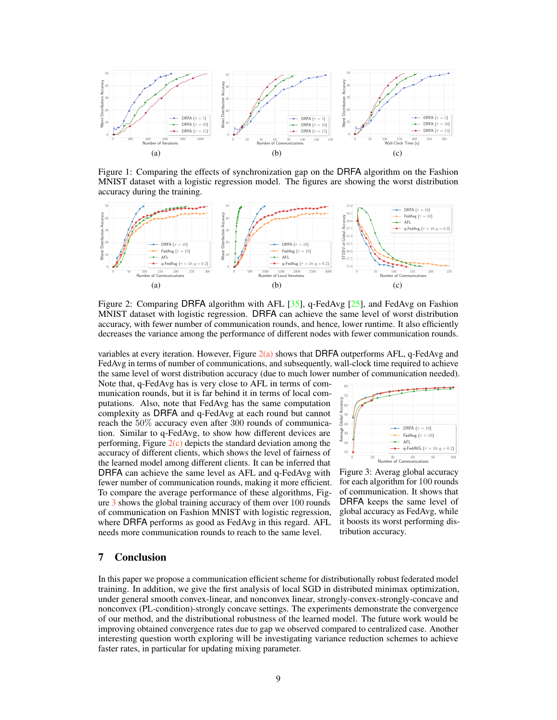

Figure 1: Comparing the effects of synchronization gap on the DRFA algorithm on the Fashion MNIST dataset with a logistic regression model. The figures are showing the worst distribution accuracy during the training.



Figure 2: Comparing DRFA algorithm with AFL [35], q-FedAvg [25], and FedAvg on Fashion MNIST dataset with logistic regression. DRFA can achieve the same level of worst distribution accuracy, with fewer number of communication rounds, and hence, lower runtime. It also efficiently decreases the variance among the performance of different nodes with fewer communication rounds.

variables at every iteration. However, Figure  $2(a)$  shows that DRFA outperforms AFL, q-FedAvg and FedAvg in terms of number of communications, and subsequently, wall-clock time required to achieve the same level of worst distribution accuracy (due to much lower number of communication needed).

Note that, q-FedAvg has is very close to AFL in terms of communication rounds, but it is far behind it in terms of local computations. Also, note that FedAvg has the same computation complexity as DRFA and q-FedAvg at each round but cannot reach the 50% accuracy even after 300 rounds of communication. Similar to q-FedAvg, to show how different devices are performing, Figure  $2(c)$  depicts the standard deviation among the accuracy of different clients, which shows the level of fairness of the learned model among different clients. It can be inferred that DRFA can achieve the same level as AFL and q-FedAvg with fewer number of communication rounds, making it more efficient. To compare the average performance of these algorithms, Figure 3 shows the global training accuracy of them over 100 rounds of communication on Fashion MNIST with logistic regression, where DRFA performs as good as FedAvg in this regard. AFL needs more communication rounds to reach to the same level.



Figure 3: Averag global accuracy for each algorithm for 100 rounds of communication. It shows that DRFA keeps the same level of global accuracy as FedAvg, while it boosts its worst performing distribution accuracy.

## 7 Conclusion

In this paper we propose a communication efficient scheme for distributionally robust federated model training. In addition, we give the first analysis of local SGD in distributed minimax optimization, under general smooth convex-linear, and nonconvex linear, strongly-convex-strongly-concave and nonconvex (PL-condition)-strongly concave settings. The experiments demonstrate the convergence of our method, and the distributional robustness of the learned model. The future work would be improving obtained convergence rates due to gap we observed compared to centralized case. Another interesting question worth exploring will be investigating variance reduction schemes to achieve faster rates, in particular for updating mixing parameter.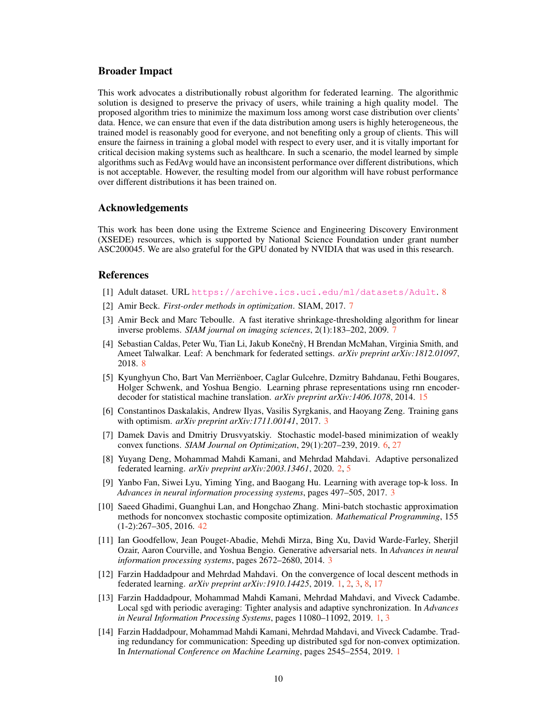#### Broader Impact

This work advocates a distributionally robust algorithm for federated learning. The algorithmic solution is designed to preserve the privacy of users, while training a high quality model. The proposed algorithm tries to minimize the maximum loss among worst case distribution over clients' data. Hence, we can ensure that even if the data distribution among users is highly heterogeneous, the trained model is reasonably good for everyone, and not benefiting only a group of clients. This will ensure the fairness in training a global model with respect to every user, and it is vitally important for critical decision making systems such as healthcare. In such a scenario, the model learned by simple algorithms such as FedAvg would have an inconsistent performance over different distributions, which is not acceptable. However, the resulting model from our algorithm will have robust performance over different distributions it has been trained on.

## Acknowledgements

This work has been done using the Extreme Science and Engineering Discovery Environment (XSEDE) resources, which is supported by National Science Foundation under grant number ASC200045. We are also grateful for the GPU donated by NVIDIA that was used in this research.

## References

- [1] Adult dataset. URL <https://archive.ics.uci.edu/ml/datasets/Adult>. 8
- [2] Amir Beck. *First-order methods in optimization*. SIAM, 2017. 7
- [3] Amir Beck and Marc Teboulle. A fast iterative shrinkage-thresholding algorithm for linear inverse problems. *SIAM journal on imaging sciences*, 2(1):183–202, 2009. 7
- [4] Sebastian Caldas, Peter Wu, Tian Li, Jakub Konečnỳ, H Brendan McMahan, Virginia Smith, and Ameet Talwalkar. Leaf: A benchmark for federated settings. *arXiv preprint arXiv:1812.01097*, 2018. 8
- [5] Kyunghyun Cho, Bart Van Merriënboer, Caglar Gulcehre, Dzmitry Bahdanau, Fethi Bougares, Holger Schwenk, and Yoshua Bengio. Learning phrase representations using rnn encoderdecoder for statistical machine translation. *arXiv preprint arXiv:1406.1078*, 2014. 15
- [6] Constantinos Daskalakis, Andrew Ilyas, Vasilis Syrgkanis, and Haoyang Zeng. Training gans with optimism. *arXiv preprint arXiv:1711.00141*, 2017. 3
- [7] Damek Davis and Dmitriy Drusvyatskiy. Stochastic model-based minimization of weakly convex functions. *SIAM Journal on Optimization*, 29(1):207–239, 2019. 6, 27
- [8] Yuyang Deng, Mohammad Mahdi Kamani, and Mehrdad Mahdavi. Adaptive personalized federated learning. *arXiv preprint arXiv:2003.13461*, 2020. 2, 5
- [9] Yanbo Fan, Siwei Lyu, Yiming Ying, and Baogang Hu. Learning with average top-k loss. In *Advances in neural information processing systems*, pages 497–505, 2017. 3
- [10] Saeed Ghadimi, Guanghui Lan, and Hongchao Zhang. Mini-batch stochastic approximation methods for nonconvex stochastic composite optimization. *Mathematical Programming*, 155 (1-2):267–305, 2016. 42
- [11] Ian Goodfellow, Jean Pouget-Abadie, Mehdi Mirza, Bing Xu, David Warde-Farley, Sherjil Ozair, Aaron Courville, and Yoshua Bengio. Generative adversarial nets. In *Advances in neural information processing systems*, pages 2672–2680, 2014. 3
- [12] Farzin Haddadpour and Mehrdad Mahdavi. On the convergence of local descent methods in federated learning. *arXiv preprint arXiv:1910.14425*, 2019. 1, 2, 3, 8, 17
- [13] Farzin Haddadpour, Mohammad Mahdi Kamani, Mehrdad Mahdavi, and Viveck Cadambe. Local sgd with periodic averaging: Tighter analysis and adaptive synchronization. In *Advances in Neural Information Processing Systems*, pages 11080–11092, 2019. 1, 3
- [14] Farzin Haddadpour, Mohammad Mahdi Kamani, Mehrdad Mahdavi, and Viveck Cadambe. Trading redundancy for communication: Speeding up distributed sgd for non-convex optimization. In *International Conference on Machine Learning*, pages 2545–2554, 2019. 1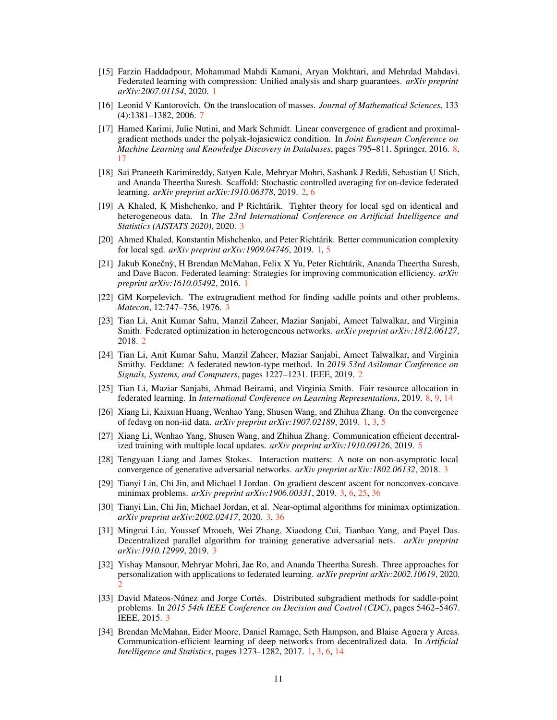- [15] Farzin Haddadpour, Mohammad Mahdi Kamani, Aryan Mokhtari, and Mehrdad Mahdavi. Federated learning with compression: Unified analysis and sharp guarantees. *arXiv preprint arXiv:2007.01154*, 2020. 1
- [16] Leonid V Kantorovich. On the translocation of masses. *Journal of Mathematical Sciences*, 133 (4):1381–1382, 2006. 7
- [17] Hamed Karimi, Julie Nutini, and Mark Schmidt. Linear convergence of gradient and proximalgradient methods under the polyak-łojasiewicz condition. In *Joint European Conference on Machine Learning and Knowledge Discovery in Databases*, pages 795–811. Springer, 2016. 8, 17
- [18] Sai Praneeth Karimireddy, Satyen Kale, Mehryar Mohri, Sashank J Reddi, Sebastian U Stich, and Ananda Theertha Suresh. Scaffold: Stochastic controlled averaging for on-device federated learning. *arXiv preprint arXiv:1910.06378*, 2019. 2, 6
- [19] A Khaled, K Mishchenko, and P Richtárik. Tighter theory for local sgd on identical and heterogeneous data. In *The 23rd International Conference on Artificial Intelligence and Statistics (AISTATS 2020)*, 2020. 3
- [20] Ahmed Khaled, Konstantin Mishchenko, and Peter Richtárik. Better communication complexity for local sgd. *arXiv preprint arXiv:1909.04746*, 2019. 1, 5
- [21] Jakub Konečnỳ, H Brendan McMahan, Felix X Yu, Peter Richtárik, Ananda Theertha Suresh, and Dave Bacon. Federated learning: Strategies for improving communication efficiency. *arXiv preprint arXiv:1610.05492*, 2016. 1
- [22] GM Korpelevich. The extragradient method for finding saddle points and other problems. *Matecon*, 12:747–756, 1976. 3
- [23] Tian Li, Anit Kumar Sahu, Manzil Zaheer, Maziar Sanjabi, Ameet Talwalkar, and Virginia Smith. Federated optimization in heterogeneous networks. *arXiv preprint arXiv:1812.06127*, 2018. 2
- [24] Tian Li, Anit Kumar Sahu, Manzil Zaheer, Maziar Sanjabi, Ameet Talwalkar, and Virginia Smithy. Feddane: A federated newton-type method. In *2019 53rd Asilomar Conference on Signals, Systems, and Computers*, pages 1227–1231. IEEE, 2019. 2
- [25] Tian Li, Maziar Sanjabi, Ahmad Beirami, and Virginia Smith. Fair resource allocation in federated learning. In *International Conference on Learning Representations*, 2019. 8, 9, 14
- [26] Xiang Li, Kaixuan Huang, Wenhao Yang, Shusen Wang, and Zhihua Zhang. On the convergence of fedavg on non-iid data. *arXiv preprint arXiv:1907.02189*, 2019. 1, 3, 5
- [27] Xiang Li, Wenhao Yang, Shusen Wang, and Zhihua Zhang. Communication efficient decentralized training with multiple local updates. *arXiv preprint arXiv:1910.09126*, 2019. 5
- [28] Tengyuan Liang and James Stokes. Interaction matters: A note on non-asymptotic local convergence of generative adversarial networks. *arXiv preprint arXiv:1802.06132*, 2018. 3
- [29] Tianyi Lin, Chi Jin, and Michael I Jordan. On gradient descent ascent for nonconvex-concave minimax problems. *arXiv preprint arXiv:1906.00331*, 2019. 3, 6, 25, 36
- [30] Tianyi Lin, Chi Jin, Michael Jordan, et al. Near-optimal algorithms for minimax optimization. *arXiv preprint arXiv:2002.02417*, 2020. 3, 36
- [31] Mingrui Liu, Youssef Mroueh, Wei Zhang, Xiaodong Cui, Tianbao Yang, and Payel Das. Decentralized parallel algorithm for training generative adversarial nets. *arXiv preprint arXiv:1910.12999*, 2019. 3
- [32] Yishay Mansour, Mehryar Mohri, Jae Ro, and Ananda Theertha Suresh. Three approaches for personalization with applications to federated learning. *arXiv preprint arXiv:2002.10619*, 2020. 2
- [33] David Mateos-Núnez and Jorge Cortés. Distributed subgradient methods for saddle-point problems. In *2015 54th IEEE Conference on Decision and Control (CDC)*, pages 5462–5467. IEEE, 2015. 3
- [34] Brendan McMahan, Eider Moore, Daniel Ramage, Seth Hampson, and Blaise Aguera y Arcas. Communication-efficient learning of deep networks from decentralized data. In *Artificial Intelligence and Statistics*, pages 1273–1282, 2017. 1, 3, 6, 14